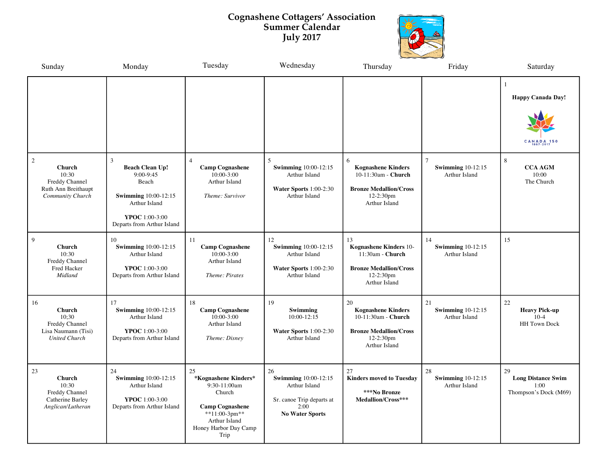## **Cognashene Cottagers' Association Summer Calendar July 2017**



| Sunday                                                                                   | Monday                                                                                                                                            | Tuesday                                                                                                                                                         | Wednesday                                                                                                          | Thursday                                                                                                              | Friday                                          | Saturday                                                         |
|------------------------------------------------------------------------------------------|---------------------------------------------------------------------------------------------------------------------------------------------------|-----------------------------------------------------------------------------------------------------------------------------------------------------------------|--------------------------------------------------------------------------------------------------------------------|-----------------------------------------------------------------------------------------------------------------------|-------------------------------------------------|------------------------------------------------------------------|
|                                                                                          |                                                                                                                                                   |                                                                                                                                                                 |                                                                                                                    |                                                                                                                       |                                                 | <b>Happy Canada Day!</b><br>CANADA 15                            |
| 2<br><b>Church</b><br>10:30<br>Freddy Channel<br>Ruth Ann Breithaupt<br>Community Church | 3<br><b>Beach Clean Up!</b><br>9:00-9:45<br>Beach<br><b>Swimming 10:00-12:15</b><br>Arthur Island<br>YPOC 1:00-3:00<br>Departs from Arthur Island | 4<br><b>Camp Cognashene</b><br>10:00-3:00<br>Arthur Island<br>Theme: Survivor                                                                                   | $\overline{5}$<br><b>Swimming 10:00-12:15</b><br>Arthur Island<br>Water Sports $1:00-2:30$<br><b>Arthur Island</b> | 6<br><b>Kognashene Kinders</b><br>10-11:30am - Church<br><b>Bronze Medallion/Cross</b><br>12-2:30pm<br>Arthur Island  | $\tau$<br>Swimming $10-12:15$<br>Arthur Island  | 8<br><b>CCA AGM</b><br>10:00<br>The Church                       |
| 9<br>Church<br>10:30<br>Freddy Channel<br>Fred Hacker<br>Midland                         | 10<br><b>Swimming 10:00-12:15</b><br>Arthur Island<br>YPOC 1:00-3:00<br>Departs from Arthur Island                                                | 11<br><b>Camp Cognashene</b><br>$10:00 - 3:00$<br>Arthur Island<br>Theme: Pirates                                                                               | 12<br><b>Swimming 10:00-12:15</b><br>Arthur Island<br>Water Sports $1:00-2:30$<br><b>Arthur Island</b>             | 13<br>Kognashene Kinders 10-<br>11:30am - Church<br><b>Bronze Medallion/Cross</b><br>12-2:30pm<br>Arthur Island       | 14<br><b>Swimming 10-12:15</b><br>Arthur Island | 15                                                               |
| 16<br>Church<br>10:30<br>Freddy Channel<br>Lisa Naumann (Tisi)<br><b>United Church</b>   | 17<br><b>Swimming 10:00-12:15</b><br>Arthur Island<br>YPOC 1:00-3:00<br>Departs from Arthur Island                                                | 18<br><b>Camp Cognashene</b><br>10:00-3:00<br>Arthur Island<br>Theme: Disney                                                                                    | 19<br>Swimming<br>$10:00 - 12:15$<br>Water Sports 1:00-2:30<br>Arthur Island                                       | 20<br><b>Kognashene Kinders</b><br>10-11:30am - Church<br><b>Bronze Medallion/Cross</b><br>12-2:30pm<br>Arthur Island | 21<br>Swimming $10-12:15$<br>Arthur Island      | 22<br><b>Heavy Pick-up</b><br>$10-4$<br><b>HH</b> Town Dock      |
| 23<br>Church<br>10:30<br>Freddy Channel<br>Catherine Barley<br>Anglican/Lutheran         | 24<br><b>Swimming 10:00-12:15</b><br>Arthur Island<br>YPOC 1:00-3:00<br>Departs from Arthur Island                                                | 25<br>*Kognashene Kinders*<br>9:30-11:00am<br>Church<br><b>Camp Cognashene</b><br>$*$ <sup>1</sup> 1:00-3pm**<br>Arthur Island<br>Honey Harbor Day Camp<br>Trip | 26<br><b>Swimming</b> 10:00-12:15<br>Arthur Island<br>Sr. canoe Trip departs at<br>2:00<br><b>No Water Sports</b>  | 27<br><b>Kinders moved to Tuesday</b><br>***No Bronze<br>Medallion/Cross***                                           | 28<br><b>Swimming 10-12:15</b><br>Arthur Island | 29<br><b>Long Distance Swim</b><br>1:00<br>Thompson's Dock (M69) |